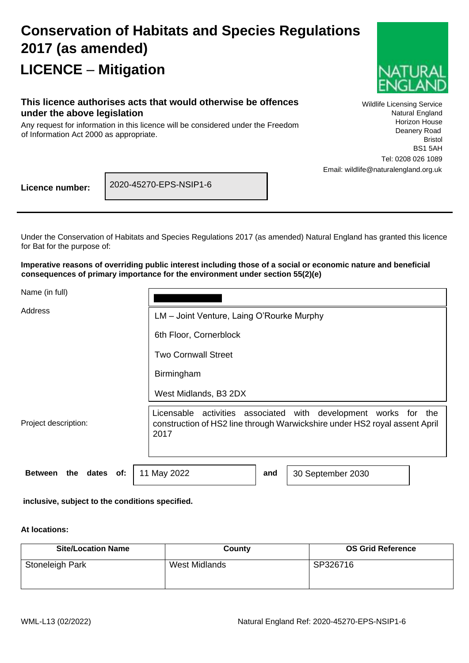# **Conservation of Habitats and Species Regulations 2017 (as amended) LICENCE** – **Mitigation**



#### **This licence authorises acts that would otherwise be offences under the above legislation**

Any request for information in this licence will be considered under the Freedom of Information Act 2000 as appropriate.

Wildlife Licensing Service Natural England Horizon House Deanery Road Bristol BS1 5AH Tel: 0208 026 1089 Email: wildlife@naturalengland.org.uk

**Licence number:**

2020-45270-EPS-NSIP1-6

 $\Box$ 

Under the Conservation of Habitats and Species Regulations 2017 (as amended) Natural England has granted this licence for Bat for the purpose of:

**Imperative reasons of overriding public interest including those of a social or economic nature and beneficial consequences of primary importance for the environment under section 55(2)(e)**

Name (in full)

| Address                            | LM - Joint Venture, Laing O'Rourke Murphy                                                                                                         |     |                   |  |
|------------------------------------|---------------------------------------------------------------------------------------------------------------------------------------------------|-----|-------------------|--|
|                                    | 6th Floor, Cornerblock                                                                                                                            |     |                   |  |
|                                    | <b>Two Cornwall Street</b>                                                                                                                        |     |                   |  |
|                                    | Birmingham                                                                                                                                        |     |                   |  |
|                                    | West Midlands, B3 2DX                                                                                                                             |     |                   |  |
| Project description:               | Licensable activities associated with development works for<br>construction of HS2 line through Warwickshire under HS2 royal assent April<br>2017 |     | the               |  |
| <b>Between</b><br>the dates<br>of: | 11 May 2022                                                                                                                                       | and | 30 September 2030 |  |

**inclusive, subject to the conditions specified.**

#### **At locations:**

| <b>Site/Location Name</b> | County        | <b>OS Grid Reference</b> |
|---------------------------|---------------|--------------------------|
| Stoneleigh Park           | West Midlands | SP326716                 |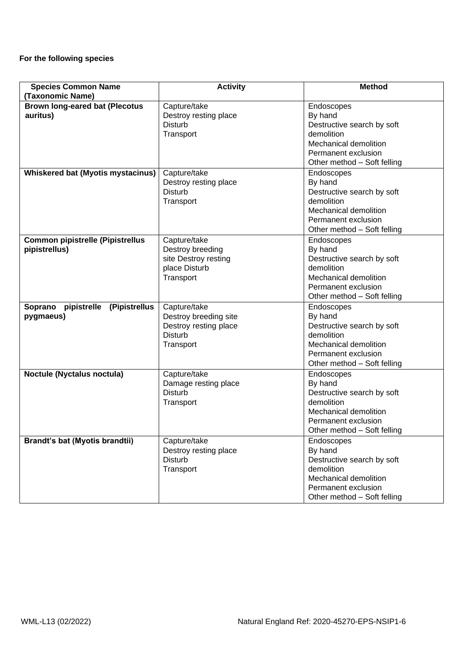#### **For the following species**

| <b>Species Common Name</b>                                            | <b>Activity</b>                                                                               | <b>Method</b>                                                                                                                                    |
|-----------------------------------------------------------------------|-----------------------------------------------------------------------------------------------|--------------------------------------------------------------------------------------------------------------------------------------------------|
| (Taxonomic Name)<br><b>Brown long-eared bat (Plecotus</b><br>auritus) | Capture/take<br>Destroy resting place<br><b>Disturb</b><br>Transport                          | Endoscopes<br>By hand<br>Destructive search by soft<br>demolition<br>Mechanical demolition<br>Permanent exclusion<br>Other method - Soft felling |
| <b>Whiskered bat (Myotis mystacinus)</b>                              | Capture/take<br>Destroy resting place<br><b>Disturb</b><br>Transport                          | Endoscopes<br>By hand<br>Destructive search by soft<br>demolition<br>Mechanical demolition<br>Permanent exclusion<br>Other method - Soft felling |
| <b>Common pipistrelle (Pipistrellus</b><br>pipistrellus)              | Capture/take<br>Destroy breeding<br>site Destroy resting<br>place Disturb<br>Transport        | Endoscopes<br>By hand<br>Destructive search by soft<br>demolition<br>Mechanical demolition<br>Permanent exclusion<br>Other method - Soft felling |
| Soprano<br>pipistrelle (Pipistrellus<br>pygmaeus)                     | Capture/take<br>Destroy breeding site<br>Destroy resting place<br><b>Disturb</b><br>Transport | Endoscopes<br>By hand<br>Destructive search by soft<br>demolition<br>Mechanical demolition<br>Permanent exclusion<br>Other method - Soft felling |
| Noctule (Nyctalus noctula)                                            | Capture/take<br>Damage resting place<br><b>Disturb</b><br>Transport                           | Endoscopes<br>By hand<br>Destructive search by soft<br>demolition<br>Mechanical demolition<br>Permanent exclusion<br>Other method - Soft felling |
| <b>Brandt's bat (Myotis brandtii)</b>                                 | Capture/take<br>Destroy resting place<br><b>Disturb</b><br>Transport                          | Endoscopes<br>By hand<br>Destructive search by soft<br>demolition<br>Mechanical demolition<br>Permanent exclusion<br>Other method - Soft felling |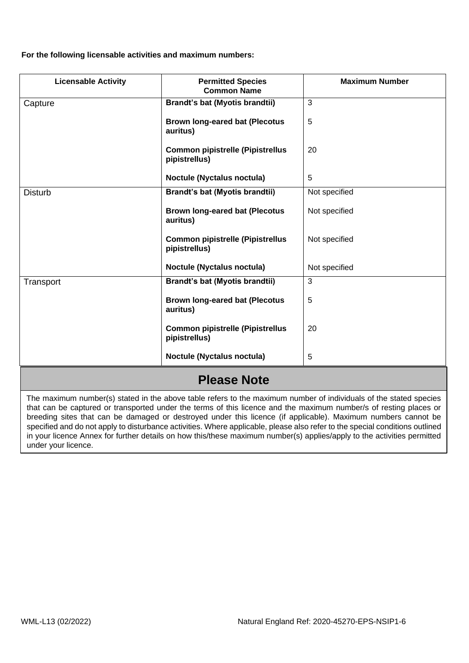**For the following licensable activities and maximum numbers:**

| <b>Licensable Activity</b> | <b>Permitted Species</b><br><b>Common Name</b>           | <b>Maximum Number</b> |
|----------------------------|----------------------------------------------------------|-----------------------|
| Capture                    | <b>Brandt's bat (Myotis brandtii)</b>                    | 3                     |
|                            | <b>Brown long-eared bat (Plecotus</b><br>auritus)        | 5                     |
|                            | <b>Common pipistrelle (Pipistrellus</b><br>pipistrellus) | 20                    |
|                            | Noctule (Nyctalus noctula)                               | 5                     |
| <b>Disturb</b>             | <b>Brandt's bat (Myotis brandtii)</b>                    | Not specified         |
|                            | <b>Brown long-eared bat (Plecotus</b><br>auritus)        | Not specified         |
|                            | <b>Common pipistrelle (Pipistrellus</b><br>pipistrellus) | Not specified         |
|                            | Noctule (Nyctalus noctula)                               | Not specified         |
| Transport                  | <b>Brandt's bat (Myotis brandtii)</b>                    | 3                     |
|                            | <b>Brown long-eared bat (Plecotus</b><br>auritus)        | 5                     |
|                            | <b>Common pipistrelle (Pipistrellus</b><br>pipistrellus) | 20                    |
|                            | Noctule (Nyctalus noctula)                               | 5                     |

# **Please Note**

 that can be captured or transported under the terms of this licence and the maximum number/s of resting places or The maximum number(s) stated in the above table refers to the maximum number of individuals of the stated species breeding sites that can be damaged or destroyed under this licence (if applicable). Maximum numbers cannot be specified and do not apply to disturbance activities. Where applicable, please also refer to the special conditions outlined in your licence Annex for further details on how this/these maximum number(s) applies/apply to the activities permitted under your licence.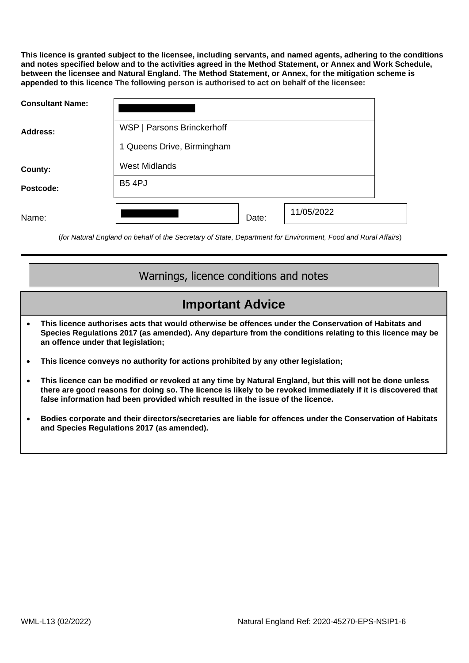**This licence is granted subject to the licensee, including servants, and named agents, adhering to the conditions and notes specified below and to the activities agreed in the Method Statement, or Annex and Work Schedule, between the licensee and Natural England. The Method Statement, or Annex, for the mitigation scheme is appended to this licence The following person is authorised to act on behalf of the licensee:**

| <b>Consultant Name:</b> |                            |  |
|-------------------------|----------------------------|--|
| <b>Address:</b>         | WSP   Parsons Brinckerhoff |  |
|                         | 1 Queens Drive, Birmingham |  |
| County:                 | <b>West Midlands</b>       |  |
| Postcode:               | <b>B5 4PJ</b>              |  |
| Name:                   | 11/05/2022<br>Date:        |  |

(*for Natural England on behalf* of *the Secretary of State, Department for Environment, Food and Rural Affairs*)

### Warnings, licence conditions and notes

## **Important Advice**

- **This licence authorises acts that would otherwise be offences under the Conservation of Habitats and Species Regulations 2017 (as amended). Any departure from the conditions relating to this licence may be an offence under that legislation;**
- **This licence conveys no authority for actions prohibited by any other legislation;**
- **This licence can be modified or revoked at any time by Natural England, but this will not be done unless there are good reasons for doing so. The licence is likely to be revoked immediately if it is discovered that false information had been provided which resulted in the issue of the licence.**
- **Bodies corporate and their directors/secretaries are liable for offences under the Conservation of Habitats and Species Regulations 2017 (as amended).**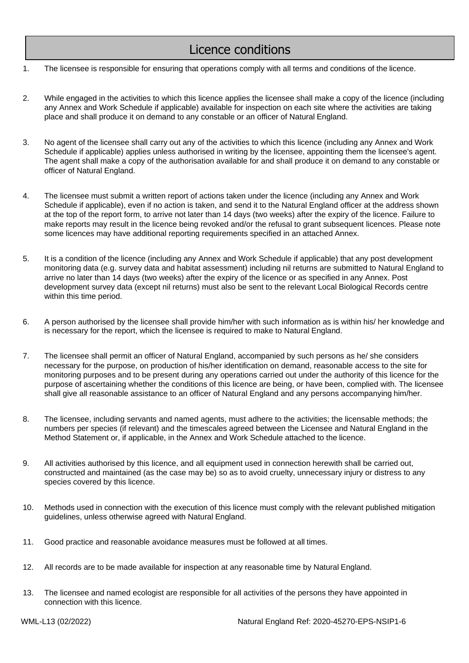### Licence conditions

- 1. The licensee is responsible for ensuring that operations comply with all terms and conditions of the licence.
- 2. While engaged in the activities to which this licence applies the licensee shall make a copy of the licence (including any Annex and Work Schedule if applicable) available for inspection on each site where the activities are taking place and shall produce it on demand to any constable or an officer of Natural England.
- 3. No agent of the licensee shall carry out any of the activities to which this licence (including any Annex and Work Schedule if applicable) applies unless authorised in writing by the licensee, appointing them the licensee's agent. The agent shall make a copy of the authorisation available for and shall produce it on demand to any constable or officer of Natural England.
- 4. The licensee must submit a written report of actions taken under the licence (including any Annex and Work Schedule if applicable), even if no action is taken, and send it to the Natural England officer at the address shown at the top of the report form, to arrive not later than 14 days (two weeks) after the expiry of the licence. Failure to make reports may result in the licence being revoked and/or the refusal to grant subsequent licences. Please note some licences may have additional reporting requirements specified in an attached Annex.
- 5. It is a condition of the licence (including any Annex and Work Schedule if applicable) that any post development monitoring data (e.g. survey data and habitat assessment) including nil returns are submitted to Natural England to arrive no later than 14 days (two weeks) after the expiry of the licence or as specified in any Annex. Post development survey data (except nil returns) must also be sent to the relevant Local Biological Records centre within this time period.
- 6. A person authorised by the licensee shall provide him/her with such information as is within his/ her knowledge and is necessary for the report, which the licensee is required to make to Natural England.
- 7. The licensee shall permit an officer of Natural England, accompanied by such persons as he/ she considers necessary for the purpose, on production of his/her identification on demand, reasonable access to the site for monitoring purposes and to be present during any operations carried out under the authority of this licence for the purpose of ascertaining whether the conditions of this licence are being, or have been, complied with. The licensee shall give all reasonable assistance to an officer of Natural England and any persons accompanying him/her.
- 8. The licensee, including servants and named agents, must adhere to the activities; the licensable methods; the numbers per species (if relevant) and the timescales agreed between the Licensee and Natural England in the Method Statement or, if applicable, in the Annex and Work Schedule attached to the licence.
- 9. All activities authorised by this licence, and all equipment used in connection herewith shall be carried out, constructed and maintained (as the case may be) so as to avoid cruelty, unnecessary injury or distress to any species covered by this licence.
- 10. Methods used in connection with the execution of this licence must comply with the relevant published mitigation guidelines, unless otherwise agreed with Natural England.
- 11. Good practice and reasonable avoidance measures must be followed at all times.
- 12. All records are to be made available for inspection at any reasonable time by Natural England.
- 13. The licensee and named ecologist are responsible for all activities of the persons they have appointed in connection with this licence.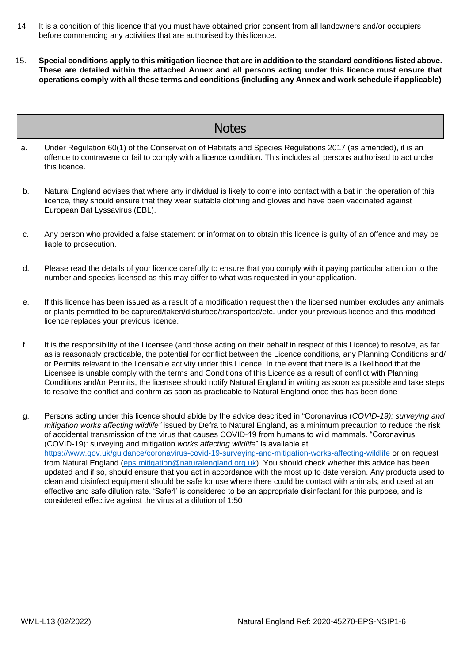- 14. It is a condition of this licence that you must have obtained prior consent from all landowners and/or occupiers before commencing any activities that are authorised by this licence.
- 15. Special conditions apply to this mitigation licence that are in addition to the standard conditions listed above. **These are detailed within the attached Annex and all persons acting under this licence must ensure that operations comply with all these terms and conditions (including any Annex and work schedule if applicable)**

### **Notes**

- a. Under Regulation 60(1) of the Conservation of Habitats and Species Regulations 2017 (as amended), it is an offence to contravene or fail to comply with a licence condition. This includes all persons authorised to act under this licence.
- b. Natural England advises that where any individual is likely to come into contact with a bat in the operation of this licence, they should ensure that they wear suitable clothing and gloves and have been vaccinated against European Bat Lyssavirus (EBL).
- c. Any person who provided a false statement or information to obtain this licence is guilty of an offence and may be liable to prosecution.
- d. Please read the details of your licence carefully to ensure that you comply with it paying particular attention to the number and species licensed as this may differ to what was requested in your application.
- e. If this licence has been issued as a result of a modification request then the licensed number excludes any animals or plants permitted to be captured/taken/disturbed/transported/etc. under your previous licence and this modified licence replaces your previous licence.
- f. It is the responsibility of the Licensee (and those acting on their behalf in respect of this Licence) to resolve, as far as is reasonably practicable, the potential for conflict between the Licence conditions, any Planning Conditions and/ or Permits relevant to the licensable activity under this Licence. In the event that there is a likelihood that the Licensee is unable comply with the terms and Conditions of this Licence as a result of conflict with Planning Conditions and/or Permits, the licensee should notify Natural England in writing as soon as possible and take steps to resolve the conflict and confirm as soon as practicable to Natural England once this has been done
- g. Persons acting under this licence should abide by the advice described in "Coronavirus (*COVID-19): surveying and mitigation works affecting wildlife"* issued by Defra to Natural England, as a minimum precaution to reduce the risk of accidental transmission of the virus that causes COVID-19 from humans to wild mammals. "Coronavirus (COVID-19): surveying and mitigation *works affecting wildlife*" is available at https://www.gov.uk/guidance/coronavirus-covid-19-surveying-and-mitigation-works-affecting-wildlife or on request from Natural England (eps.mitigation@naturalengland.org.uk). You should check whether this advice has been updated and if so, should ensure that you act in accordance with the most up to date version. Any products used to clean and disinfect equipment should be safe for use where there could be contact with animals, and used at an effective and safe dilution rate. 'Safe4' is considered to be an appropriate disinfectant for this purpose, and is considered effective against the virus at a dilution of 1:50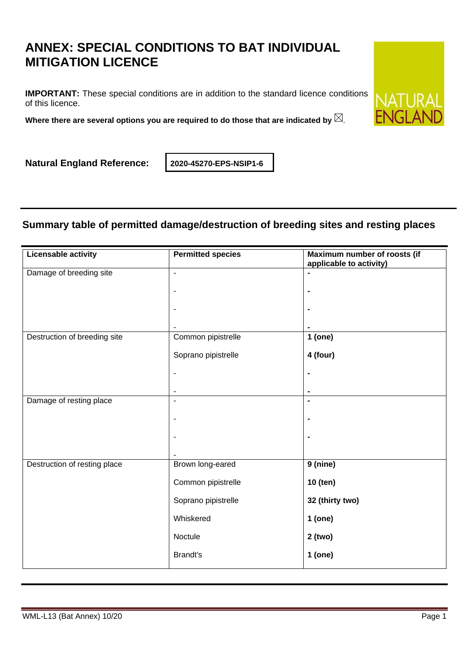# **ANNEX: SPECIAL CONDITIONS TO BAT INDIVIDUAL MITIGATION LICENCE**

**IMPORTANT:** These special conditions are in addition to the standard licence conditions of this licence.

**Where there are several options you are required to do those that are indicated by** .

**Natural England Reference: 2020-45270-EPS-NSIP1-6**

### **Summary table of permitted damage/destruction of breeding sites and resting places**

| <b>Licensable activity</b>   | <b>Permitted species</b> | Maximum number of roosts (if<br>applicable to activity) |
|------------------------------|--------------------------|---------------------------------------------------------|
| Damage of breeding site      | ä,                       | $\blacksquare$                                          |
|                              | $\blacksquare$           | ٠                                                       |
|                              |                          | $\blacksquare$                                          |
|                              |                          |                                                         |
| Destruction of breeding site | Common pipistrelle       | 1 (one)                                                 |
|                              | Soprano pipistrelle      | 4 (four)                                                |
|                              | $\overline{\phantom{a}}$ | $\blacksquare$                                          |
|                              | $\overline{\phantom{a}}$ | $\blacksquare$                                          |
| Damage of resting place      | $\blacksquare$           | $\blacksquare$                                          |
|                              |                          |                                                         |
|                              |                          |                                                         |
|                              |                          | ٠                                                       |
|                              |                          |                                                         |
| Destruction of resting place | Brown long-eared         | 9 (nine)                                                |
|                              | Common pipistrelle       | 10 (ten)                                                |
|                              | Soprano pipistrelle      | 32 (thirty two)                                         |
|                              | Whiskered                | $1$ (one)                                               |
|                              | Noctule                  | 2 (two)                                                 |
|                              | <b>Brandt's</b>          | 1 (one)                                                 |

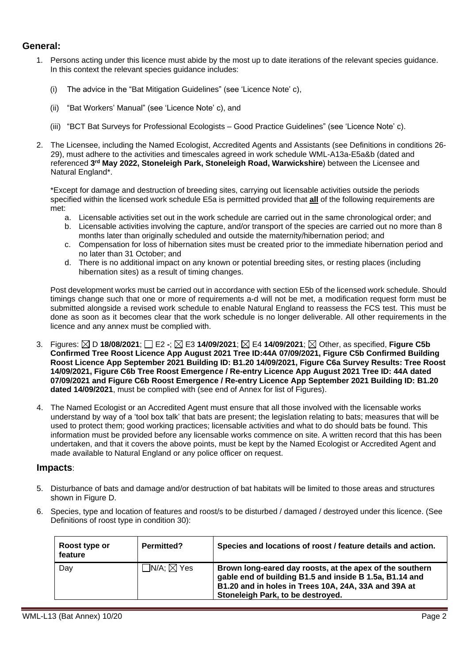#### **General:**

- 1. Persons acting under this licence must abide by the most up to date iterations of the relevant species guidance. In this context the relevant species guidance includes:
	- (i) The advice in the "Bat Mitigation Guidelines" (see 'Licence Note' c),
	- (ii) "Bat Workers' Manual" (see 'Licence Note' c), and
	- (iii) "BCT Bat Surveys for Professional Ecologists Good Practice Guidelines" (see 'Licence Note' c).
- 2. The Licensee, including the Named Ecologist, Accredited Agents and Assistants (see Definitions in conditions 26- 29), must adhere to the activities and timescales agreed in work schedule WML-A13a-E5a&b (dated and referenced 3<sup>rd</sup> May 2022, Stoneleigh Park, Stoneleigh Road, Warwickshire) between the Licensee and Natural England\*.

\*Except for damage and destruction of breeding sites, carrying out licensable activities outside the periods specified within the licensed work schedule E5a is permitted provided that **all** of the following requirements are met:

- a. Licensable activities set out in the work schedule are carried out in the same chronological order; and
- b. Licensable activities involving the capture, and/or transport of the species are carried out no more than 8 months later than originally scheduled and outside the maternity/hibernation period; and
- c. Compensation for loss of hibernation sites must be created prior to the immediate hibernation period and no later than 31 October; and
- d. There is no additional impact on any known or potential breeding sites, or resting places (including hibernation sites) as a result of timing changes.

Post development works must be carried out in accordance with section E5b of the licensed work schedule. Should timings change such that one or more of requirements a-d will not be met, a modification request form must be submitted alongside a revised work schedule to enable Natural England to reassess the FCS test. This must be done as soon as it becomes clear that the work schedule is no longer deliverable. All other requirements in the licence and any annex must be complied with.

- 3. Figures: D **18/08/2021**; E2 **-**; E3 **14/09/2021**; E4 **14/09/2021**; Other, as specified, **Figure C5b Confirmed Tree Roost Licence App August 2021 Tree ID:44A 07/09/2021, Figure C5b Confirmed Building Roost Licence App September 2021 Building ID: B1.20 14/09/2021, Figure C6a Survey Results: Tree Roost 14/09/2021, Figure C6b Tree Roost Emergence / Re-entry Licence App August 2021 Tree ID: 44A dated 07/09/2021 and Figure C6b Roost Emergence / Re-entry Licence App September 2021 Building ID: B1.20 dated 14/09/2021**, must be complied with (see end of Annex for list of Figures).
- 4. The Named Ecologist or an Accredited Agent must ensure that all those involved with the licensable works understand by way of a 'tool box talk' that bats are present; the legislation relating to bats; measures that will be used to protect them; good working practices; licensable activities and what to do should bats be found. This information must be provided before any licensable works commence on site. A written record that this has been undertaken, and that it covers the above points, must be kept by the Named Ecologist or Accredited Agent and made available to Natural England or any police officer on request.

#### **Impacts**:

- 5. Disturbance of bats and damage and/or destruction of bat habitats will be limited to those areas and structures shown in Figure D.
- 6. Species, type and location of features and roost/s to be disturbed / damaged / destroyed under this licence. (See Definitions of roost type in condition 30):

| Roost type or<br>feature | <b>Permitted?</b>             | Species and locations of roost / feature details and action.                                                                                                                                                     |
|--------------------------|-------------------------------|------------------------------------------------------------------------------------------------------------------------------------------------------------------------------------------------------------------|
| Day                      | $\sqcap$ N/A: $\boxtimes$ Yes | Brown long-eared day roosts, at the apex of the southern<br>gable end of building B1.5 and inside B 1.5a, B1.14 and<br>B1.20 and in holes in Trees 10A, 24A, 33A and 39A at<br>Stoneleigh Park, to be destroyed. |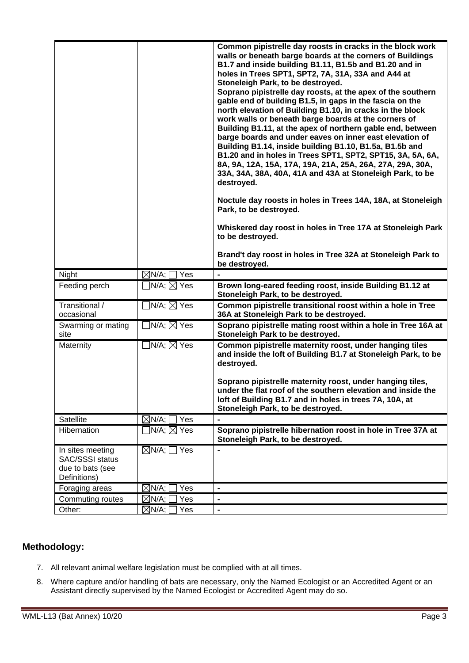|                                            |                                | Common pipistrelle day roosts in cracks in the block work                                                               |
|--------------------------------------------|--------------------------------|-------------------------------------------------------------------------------------------------------------------------|
|                                            |                                | walls or beneath barge boards at the corners of Buildings<br>B1.7 and inside building B1.11, B1.5b and B1.20 and in     |
|                                            |                                | holes in Trees SPT1, SPT2, 7A, 31A, 33A and A44 at                                                                      |
|                                            |                                | Stoneleigh Park, to be destroyed.                                                                                       |
|                                            |                                | Soprano pipistrelle day roosts, at the apex of the southern                                                             |
|                                            |                                | gable end of building B1.5, in gaps in the fascia on the<br>north elevation of Building B1.10, in cracks in the block   |
|                                            |                                | work walls or beneath barge boards at the corners of                                                                    |
|                                            |                                | Building B1.11, at the apex of northern gable end, between                                                              |
|                                            |                                | barge boards and under eaves on inner east elevation of<br>Building B1.14, inside building B1.10, B1.5a, B1.5b and      |
|                                            |                                | B1.20 and in holes in Trees SPT1, SPT2, SPT15, 3A, 5A, 6A,                                                              |
|                                            |                                | 8A, 9A, 12A, 15A, 17A, 19A, 21A, 25A, 26A, 27A, 29A, 30A,                                                               |
|                                            |                                | 33A, 34A, 38A, 40A, 41A and 43A at Stoneleigh Park, to be<br>destroyed.                                                 |
|                                            |                                | Noctule day roosts in holes in Trees 14A, 18A, at Stoneleigh                                                            |
|                                            |                                | Park, to be destroyed.                                                                                                  |
|                                            |                                | Whiskered day roost in holes in Tree 17A at Stoneleigh Park                                                             |
|                                            |                                | to be destroyed.                                                                                                        |
|                                            |                                | Brand't day roost in holes in Tree 32A at Stoneleigh Park to<br>be destroyed.                                           |
| Night                                      | $\boxtimes$ N/A; [<br>Yes      |                                                                                                                         |
| Feeding perch                              | $N/A; \boxtimes Y$ es          | Brown long-eared feeding roost, inside Building B1.12 at<br>Stoneleigh Park, to be destroyed.                           |
| Transitional /<br>occasional               | $\Box$ N/A; $\boxtimes$ Yes    | Common pipistrelle transitional roost within a hole in Tree<br>36A at Stoneleigh Park to be destroyed.                  |
| Swarming or mating<br>site                 | $\exists$ N/A; $\boxtimes$ Yes | Soprano pipistrelle mating roost within a hole in Tree 16A at<br>Stoneleigh Park to be destroyed.                       |
| Maternity                                  | ]N/A; $\boxtimes$ Yes          | Common pipistrelle maternity roost, under hanging tiles                                                                 |
|                                            |                                | and inside the loft of Building B1.7 at Stoneleigh Park, to be<br>destroyed.                                            |
|                                            |                                |                                                                                                                         |
|                                            |                                | Soprano pipistrelle maternity roost, under hanging tiles,                                                               |
|                                            |                                | under the flat roof of the southern elevation and inside the<br>loft of Building B1.7 and in holes in trees 7A, 10A, at |
|                                            |                                | Stoneleigh Park, to be destroyed.                                                                                       |
| Satellite                                  | Yes<br>$\boxtimes$ N/A;        |                                                                                                                         |
| Hibernation                                | $\exists$ N/A; $\boxtimes$ Yes | Soprano pipistrelle hibernation roost in hole in Tree 37A at                                                            |
|                                            |                                | Stoneleigh Park, to be destroyed.                                                                                       |
| In sites meeting                           | $\boxtimes$ N/A; $\Box$ Yes    | $\blacksquare$                                                                                                          |
| <b>SAC/SSSI status</b><br>due to bats (see |                                |                                                                                                                         |
| Definitions)                               |                                |                                                                                                                         |
| Foraging areas                             | $\boxtimes$ N/A; $\mid$<br>Yes | $\qquad \qquad \blacksquare$                                                                                            |
| Commuting routes                           | $\boxtimes$ N/A; $\mid$<br>Yes | $\overline{\phantom{0}}$                                                                                                |
| Other:                                     | $\boxtimes$ N/A; $ $<br>Yes    | $\qquad \qquad \blacksquare$                                                                                            |

### **Methodology:**

- 7. All relevant animal welfare legislation must be complied with at all times.
- 8. Where capture and/or handling of bats are necessary, only the Named Ecologist or an Accredited Agent or an Assistant directly supervised by the Named Ecologist or Accredited Agent may do so.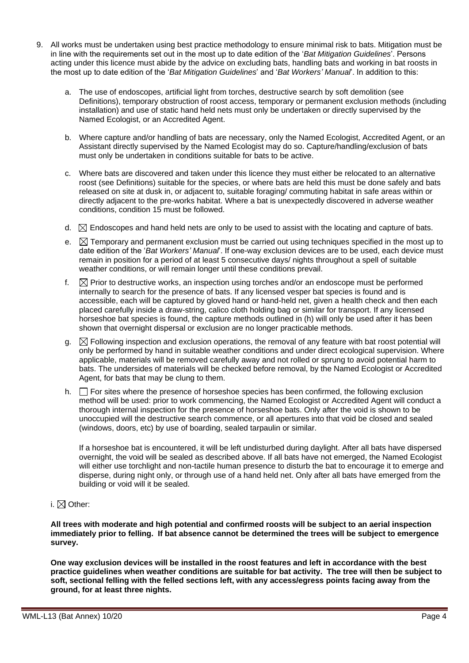- 9. All works must be undertaken using best practice methodology to ensure minimal risk to bats. Mitigation must be in line with the requirements set out in the most up to date edition of the '*Bat Mitigation Guidelines*'. Persons acting under this licence must abide by the advice on excluding bats, handling bats and working in bat roosts in the most up to date edition of the '*Bat Mitigation Guidelines*' and '*Bat Workers' Manual*'. In addition to this:
	- a. The use of endoscopes, artificial light from torches, destructive search by soft demolition (see Definitions), temporary obstruction of roost access, temporary or permanent exclusion methods (including installation) and use of static hand held nets must only be undertaken or directly supervised by the Named Ecologist, or an Accredited Agent.
	- b. Where capture and/or handling of bats are necessary, only the Named Ecologist, Accredited Agent, or an Assistant directly supervised by the Named Ecologist may do so. Capture/handling/exclusion of bats must only be undertaken in conditions suitable for bats to be active.
	- c. Where bats are discovered and taken under this licence they must either be relocated to an alternative roost (see Definitions) suitable for the species, or where bats are held this must be done safely and bats released on site at dusk in, or adjacent to, suitable foraging/ commuting habitat in safe areas within or directly adjacent to the pre-works habitat. Where a bat is unexpectedly discovered in adverse weather conditions, condition 15 must be followed.
	- d.  $\boxtimes$  Endoscopes and hand held nets are only to be used to assist with the locating and capture of bats.
	- e.  $\boxtimes$  Temporary and permanent exclusion must be carried out using techniques specified in the most up to date edition of the '*Bat Workers' Manual*'. If one-way exclusion devices are to be used, each device must remain in position for a period of at least 5 consecutive days/ nights throughout a spell of suitable weather conditions, or will remain longer until these conditions prevail.
	- f.  $\boxtimes$  Prior to destructive works, an inspection using torches and/or an endoscope must be performed internally to search for the presence of bats. If any licensed vesper bat species is found and is accessible, each will be captured by gloved hand or hand-held net, given a health check and then each placed carefully inside a draw-string, calico cloth holding bag or similar for transport. If any licensed horseshoe bat species is found, the capture methods outlined in (h) will only be used after it has been shown that overnight dispersal or exclusion are no longer practicable methods.
	- g.  $\boxtimes$  Following inspection and exclusion operations, the removal of any feature with bat roost potential will only be performed by hand in suitable weather conditions and under direct ecological supervision. Where applicable, materials will be removed carefully away and not rolled or sprung to avoid potential harm to bats. The undersides of materials will be checked before removal, by the Named Ecologist or Accredited Agent, for bats that may be clung to them.
	- h.  $\Box$  For sites where the presence of horseshoe species has been confirmed, the following exclusion method will be used: prior to work commencing, the Named Ecologist or Accredited Agent will conduct a thorough internal inspection for the presence of horseshoe bats. Only after the void is shown to be unoccupied will the destructive search commence, or all apertures into that void be closed and sealed (windows, doors, etc) by use of boarding, sealed tarpaulin or similar.

If a horseshoe bat is encountered, it will be left undisturbed during daylight. After all bats have dispersed overnight, the void will be sealed as described above. If all bats have not emerged, the Named Ecologist will either use torchlight and non-tactile human presence to disturb the bat to encourage it to emerge and disperse, during night only, or through use of a hand held net. Only after all bats have emerged from the building or void will it be sealed.

i.  $\boxtimes$  Other:

**All trees with moderate and high potential and confirmed roosts will be subject to an aerial inspection immediately prior to felling. If bat absence cannot be determined the trees will be subject to emergence survey.** 

**One way exclusion devices will be installed in the roost features and left in accordance with the best practice guidelines when weather conditions are suitable for bat activity. The tree will then be subject to soft, sectional felling with the felled sections left, with any access/egress points facing away from the ground, for at least three nights.**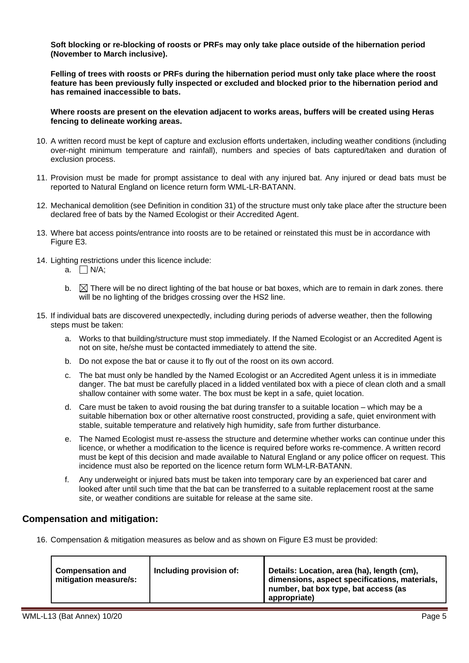**Soft blocking or re-blocking of roosts or PRFs may only take place outside of the hibernation period (November to March inclusive).** 

**Felling of trees with roosts or PRFs during the hibernation period must only take place where the roost feature has been previously fully inspected or excluded and blocked prior to the hibernation period and has remained inaccessible to bats.**

**Where roosts are present on the elevation adjacent to works areas, buffers will be created using Heras fencing to delineate working areas.**

- 10. A written record must be kept of capture and exclusion efforts undertaken, including weather conditions (including over-night minimum temperature and rainfall), numbers and species of bats captured/taken and duration of exclusion process.
- 11. Provision must be made for prompt assistance to deal with any injured bat. Any injured or dead bats must be reported to Natural England on licence return form WML-LR-BATANN.
- 12. Mechanical demolition (see Definition in condition 31) of the structure must only take place after the structure been declared free of bats by the Named Ecologist or their Accredited Agent.
- 13. Where bat access points/entrance into roosts are to be retained or reinstated this must be in accordance with Figure E3.
- 14. Lighting restrictions under this licence include:
	- a.  $\Box$  N/A:
	- b.  $\boxtimes$  There will be no direct lighting of the bat house or bat boxes, which are to remain in dark zones. there will be no lighting of the bridges crossing over the HS2 line.
- 15. If individual bats are discovered unexpectedly, including during periods of adverse weather, then the following steps must be taken:
	- a. Works to that building/structure must stop immediately. If the Named Ecologist or an Accredited Agent is not on site, he/she must be contacted immediately to attend the site.
	- b. Do not expose the bat or cause it to fly out of the roost on its own accord.
	- c. The bat must only be handled by the Named Ecologist or an Accredited Agent unless it is in immediate danger. The bat must be carefully placed in a lidded ventilated box with a piece of clean cloth and a small shallow container with some water. The box must be kept in a safe, quiet location.
	- d. Care must be taken to avoid rousing the bat during transfer to a suitable location which may be a suitable hibernation box or other alternative roost constructed, providing a safe, quiet environment with stable, suitable temperature and relatively high humidity, safe from further disturbance.
	- e. The Named Ecologist must re-assess the structure and determine whether works can continue under this licence, or whether a modification to the licence is required before works re-commence. A written record must be kept of this decision and made available to Natural England or any police officer on request. This incidence must also be reported on the licence return form WLM-LR-BATANN.
	- f. Any underweight or injured bats must be taken into temporary care by an experienced bat carer and looked after until such time that the bat can be transferred to a suitable replacement roost at the same site, or weather conditions are suitable for release at the same site.

#### **Compensation and mitigation:**

16. Compensation & mitigation measures as below and as shown on Figure E3 must be provided:

| <b>Compensation and</b><br>mitigation measure/s: | Including provision of: | Details: Location, area (ha), length (cm),<br>dimensions, aspect specifications, materials,<br>number, bat box type, bat access (as<br>appropriate) |
|--------------------------------------------------|-------------------------|-----------------------------------------------------------------------------------------------------------------------------------------------------|
|--------------------------------------------------|-------------------------|-----------------------------------------------------------------------------------------------------------------------------------------------------|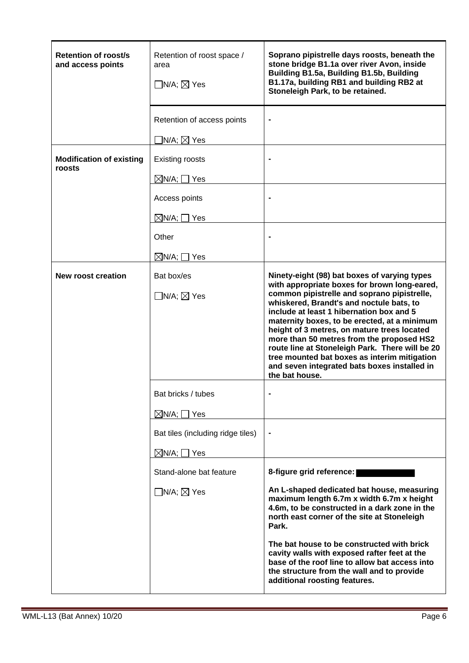| <b>Retention of roost/s</b><br>and access points | Retention of roost space /<br>area<br>$\Box$ N/A; $\boxtimes$ Yes | Soprano pipistrelle days roosts, beneath the<br>stone bridge B1.1a over river Avon, inside<br>Building B1.5a, Building B1.5b, Building<br>B1.17a, building RB1 and building RB2 at<br>Stoneleigh Park, to be retained.                                                                                                                                                                                                                               |
|--------------------------------------------------|-------------------------------------------------------------------|------------------------------------------------------------------------------------------------------------------------------------------------------------------------------------------------------------------------------------------------------------------------------------------------------------------------------------------------------------------------------------------------------------------------------------------------------|
|                                                  | Retention of access points                                        | $\blacksquare$                                                                                                                                                                                                                                                                                                                                                                                                                                       |
| <b>Modification of existing</b><br>roosts        | $\Box$ N/A; $\boxtimes$ Yes<br><b>Existing roosts</b>             |                                                                                                                                                                                                                                                                                                                                                                                                                                                      |
|                                                  | $\boxtimes$ N/A; $\Box$ Yes                                       |                                                                                                                                                                                                                                                                                                                                                                                                                                                      |
|                                                  | Access points                                                     |                                                                                                                                                                                                                                                                                                                                                                                                                                                      |
|                                                  | $\boxtimes$ N/A; $\Box$ Yes                                       |                                                                                                                                                                                                                                                                                                                                                                                                                                                      |
|                                                  | Other                                                             |                                                                                                                                                                                                                                                                                                                                                                                                                                                      |
|                                                  | $\boxtimes$ N/A; $\Box$ Yes                                       |                                                                                                                                                                                                                                                                                                                                                                                                                                                      |
| <b>New roost creation</b>                        | Bat box/es                                                        | Ninety-eight (98) bat boxes of varying types<br>with appropriate boxes for brown long-eared,                                                                                                                                                                                                                                                                                                                                                         |
|                                                  | $\Box$ N/A; $\boxtimes$ Yes                                       | common pipistrelle and soprano pipistrelle,<br>whiskered, Brandt's and noctule bats, to<br>include at least 1 hibernation box and 5<br>maternity boxes, to be erected, at a minimum<br>height of 3 metres, on mature trees located<br>more than 50 metres from the proposed HS2<br>route line at Stoneleigh Park. There will be 20<br>tree mounted bat boxes as interim mitigation<br>and seven integrated bats boxes installed in<br>the bat house. |
|                                                  | Bat bricks / tubes                                                |                                                                                                                                                                                                                                                                                                                                                                                                                                                      |
|                                                  | $\boxtimes$ N/A; $\Box$ Yes                                       |                                                                                                                                                                                                                                                                                                                                                                                                                                                      |
|                                                  | Bat tiles (including ridge tiles)                                 | $\blacksquare$                                                                                                                                                                                                                                                                                                                                                                                                                                       |
|                                                  | $\boxtimes$ N/A; $\Box$ Yes                                       |                                                                                                                                                                                                                                                                                                                                                                                                                                                      |
|                                                  | Stand-alone bat feature                                           | 8-figure grid reference:                                                                                                                                                                                                                                                                                                                                                                                                                             |
|                                                  | $\Box$ N/A; $\boxtimes$ Yes                                       | An L-shaped dedicated bat house, measuring<br>maximum length 6.7m x width 6.7m x height<br>4.6m, to be constructed in a dark zone in the<br>north east corner of the site at Stoneleigh<br>Park.                                                                                                                                                                                                                                                     |
|                                                  |                                                                   | The bat house to be constructed with brick<br>cavity walls with exposed rafter feet at the<br>base of the roof line to allow bat access into<br>the structure from the wall and to provide<br>additional roosting features.                                                                                                                                                                                                                          |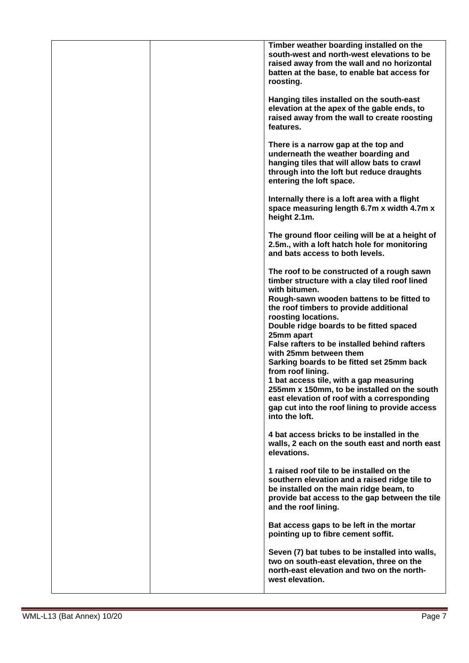|  | Timber weather boarding installed on the<br>south-west and north-west elevations to be<br>raised away from the wall and no horizontal<br>batten at the base, to enable bat access for<br>roosting.  |
|--|-----------------------------------------------------------------------------------------------------------------------------------------------------------------------------------------------------|
|  | Hanging tiles installed on the south-east<br>elevation at the apex of the gable ends, to<br>raised away from the wall to create roosting<br>features.                                               |
|  | There is a narrow gap at the top and<br>underneath the weather boarding and<br>hanging tiles that will allow bats to crawl<br>through into the loft but reduce draughts<br>entering the loft space. |
|  | Internally there is a loft area with a flight<br>space measuring length 6.7m x width 4.7m x<br>height 2.1m.                                                                                         |
|  | The ground floor ceiling will be at a height of<br>2.5m., with a loft hatch hole for monitoring<br>and bats access to both levels.                                                                  |
|  | The roof to be constructed of a rough sawn<br>timber structure with a clay tiled roof lined<br>with bitumen.                                                                                        |
|  | Rough-sawn wooden battens to be fitted to<br>the roof timbers to provide additional<br>roosting locations.                                                                                          |
|  | Double ridge boards to be fitted spaced<br>25mm apart                                                                                                                                               |
|  | False rafters to be installed behind rafters<br>with 25mm between them<br>Sarking boards to be fitted set 25mm back                                                                                 |
|  | from roof lining.<br>1 bat access tile, with a gap measuring                                                                                                                                        |
|  | 255mm x 150mm, to be installed on the south<br>east elevation of roof with a corresponding                                                                                                          |
|  | gap cut into the roof lining to provide access<br>into the loft.                                                                                                                                    |
|  | 4 bat access bricks to be installed in the<br>walls, 2 each on the south east and north east<br>elevations.                                                                                         |
|  | 1 raised roof tile to be installed on the<br>southern elevation and a raised ridge tile to                                                                                                          |
|  | be installed on the main ridge beam, to<br>provide bat access to the gap between the tile<br>and the roof lining.                                                                                   |
|  | Bat access gaps to be left in the mortar<br>pointing up to fibre cement soffit.                                                                                                                     |
|  | Seven (7) bat tubes to be installed into walls,<br>two on south-east elevation, three on the<br>north-east elevation and two on the north-<br>west elevation.                                       |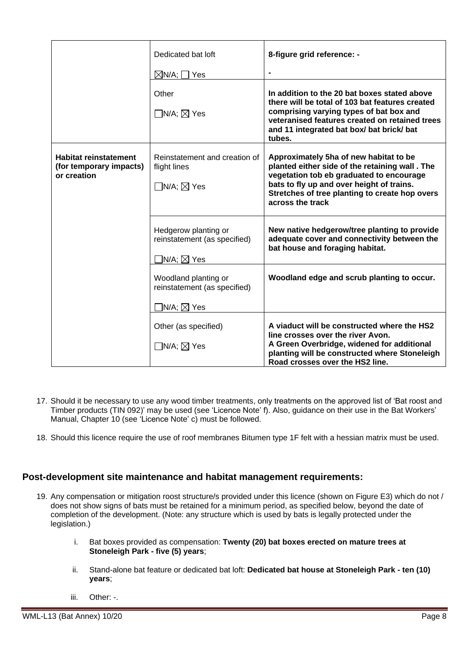|                                                                        | Dedicated bat loft                                                                     | 8-figure grid reference: -                                                                                                                                                                                                                              |
|------------------------------------------------------------------------|----------------------------------------------------------------------------------------|---------------------------------------------------------------------------------------------------------------------------------------------------------------------------------------------------------------------------------------------------------|
|                                                                        | $\boxtimes$ N/A; $\Box$ Yes                                                            | $\blacksquare$                                                                                                                                                                                                                                          |
|                                                                        | Other<br>$\Box$ N/A; $\boxtimes$ Yes                                                   | In addition to the 20 bat boxes stated above<br>there will be total of 103 bat features created<br>comprising varying types of bat box and<br>veteranised features created on retained trees<br>and 11 integrated bat box/ bat brick/ bat<br>tubes.     |
| <b>Habitat reinstatement</b><br>(for temporary impacts)<br>or creation | Reinstatement and creation of<br>flight lines<br>$\Box$ N/A; $\boxtimes$ Yes           | Approximately 5ha of new habitat to be<br>planted either side of the retaining wall. The<br>vegetation tob eb graduated to encourage<br>bats to fly up and over height of trains.<br>Stretches of tree planting to create hop overs<br>across the track |
|                                                                        | Hedgerow planting or<br>reinstatement (as specified)<br>$\exists$ N/A; $\boxtimes$ Yes | New native hedgerow/tree planting to provide<br>adequate cover and connectivity between the<br>bat house and foraging habitat.                                                                                                                          |
|                                                                        | Woodland planting or<br>reinstatement (as specified)<br>$\exists$ N/A; $\boxtimes$ Yes | Woodland edge and scrub planting to occur.                                                                                                                                                                                                              |
|                                                                        | Other (as specified)<br>$\Box$ N/A; $\boxtimes$ Yes                                    | A viaduct will be constructed where the HS2<br>line crosses over the river Avon.<br>A Green Overbridge, widened for additional<br>planting will be constructed where Stoneleigh<br>Road crosses over the HS2 line.                                      |

- 17. Should it be necessary to use any wood timber treatments, only treatments on the approved list of 'Bat roost and Timber products (TIN 092)' may be used (see 'Licence Note' f). Also, guidance on their use in the Bat Workers' Manual, Chapter 10 (see 'Licence Note' c) must be followed.
- 18. Should this licence require the use of roof membranes Bitumen type 1F felt with a hessian matrix must be used.

#### **Post-development site maintenance and habitat management requirements:**

- 19. Any compensation or mitigation roost structure/s provided under this licence (shown on Figure E3) which do not / does not show signs of bats must be retained for a minimum period, as specified below, beyond the date of completion of the development. (Note: any structure which is used by bats is legally protected under the legislation.)
	- i. Bat boxes provided as compensation: **Twenty (20) bat boxes erected on mature trees at Stoneleigh Park - five (5) years**;
	- ii. Stand-alone bat feature or dedicated bat loft: **Dedicated bat house at Stoneleigh Park - ten (10) years**;
	- iii. Other: -.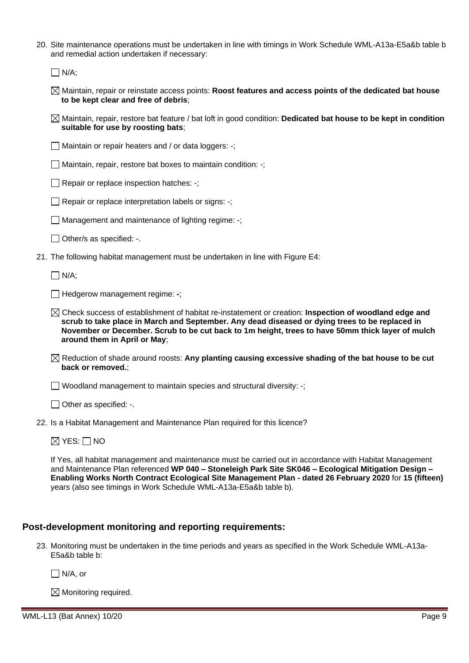| 20. Site maintenance operations must be undertaken in line with timings in Work Schedule WML-A13a-E5a&b table b |
|-----------------------------------------------------------------------------------------------------------------|
| and remedial action undertaken if necessary:                                                                    |

 $\Box$  N/A;

- Maintain, repair or reinstate access points: **Roost features and access points of the dedicated bat house to be kept clear and free of debris**;
- Maintain, repair, restore bat feature / bat loft in good condition: **Dedicated bat house to be kept in condition suitable for use by roosting bats**;
- $\Box$  Maintain or repair heaters and / or data loggers: -;
- $\Box$  Maintain, repair, restore bat boxes to maintain condition: -;
- $\Box$  Repair or replace inspection hatches: -;
- $\Box$  Repair or replace interpretation labels or signs: -;
- $\Box$  Management and maintenance of lighting regime: -;
- $\Box$  Other/s as specified: -.
- 21. The following habitat management must be undertaken in line with Figure E4:

 $\Box$  N/A:

Hedgerow management regime: **-**;

- Check success of establishment of habitat re-instatement or creation: **Inspection of woodland edge and scrub to take place in March and September. Any dead diseased or dying trees to be replaced in November or December. Scrub to be cut back to 1m height, trees to have 50mm thick layer of mulch around them in April or May**;
- Reduction of shade around roosts: **Any planting causing excessive shading of the bat house to be cut back or removed.**;

 $\Box$  Woodland management to maintain species and structural diversity: -;

 $\Box$  Other as specified: -.

22. Is a Habitat Management and Maintenance Plan required for this licence?

 $\boxtimes$  YES:  $\Box$  NO

If Yes, all habitat management and maintenance must be carried out in accordance with Habitat Management and Maintenance Plan referenced **WP 040 – Stoneleigh Park Site SK046 – Ecological Mitigation Design – Enabling Works North Contract Ecological Site Management Plan - dated 26 February 2020** for **15 (fifteen)** years (also see timings in Work Schedule WML-A13a-E5a&b table b).

#### **Post-development monitoring and reporting requirements:**

23. Monitoring must be undertaken in the time periods and years as specified in the Work Schedule WML-A13a-E5a&b table b:

N/A, or

 $\boxtimes$  Monitoring required.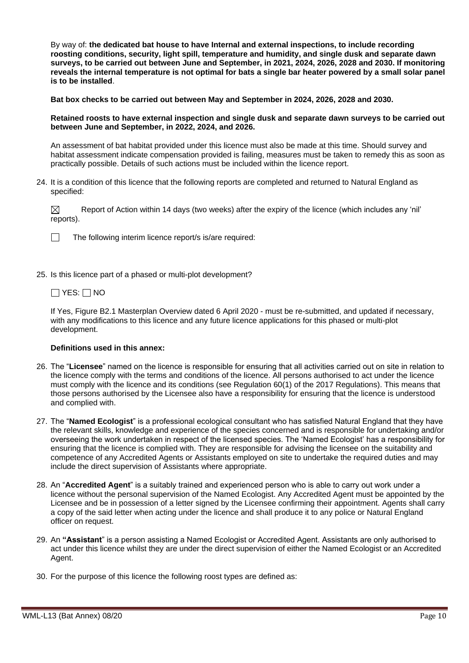By way of: **the dedicated bat house to have Internal and external inspections, to include recording roosting conditions, security, light spill, temperature and humidity, and single dusk and separate dawn surveys, to be carried out between June and September, in 2021, 2024, 2026, 2028 and 2030. If monitoring reveals the internal temperature is not optimal for bats a single bar heater powered by a small solar panel is to be installed**.

**Bat box checks to be carried out between May and September in 2024, 2026, 2028 and 2030.** 

**Retained roosts to have external inspection and single dusk and separate dawn surveys to be carried out between June and September, in 2022, 2024, and 2026.**

An assessment of bat habitat provided under this licence must also be made at this time. Should survey and habitat assessment indicate compensation provided is failing, measures must be taken to remedy this as soon as practically possible. Details of such actions must be included within the licence report.

24. It is a condition of this licence that the following reports are completed and returned to Natural England as specified:

⊠ Report of Action within 14 days (two weeks) after the expiry of the licence (which includes any 'nil' reports).



The following interim licence report/s is/are required:

25. Is this licence part of a phased or multi-plot development?

#### $\Box$  YES:  $\Box$  NO

If Yes, Figure B2.1 Masterplan Overview dated 6 April 2020 - must be re-submitted, and updated if necessary, with any modifications to this licence and any future licence applications for this phased or multi-plot development.

#### **Definitions used in this annex:**

- 26. The "**Licensee**" named on the licence is responsible for ensuring that all activities carried out on site in relation to the licence comply with the terms and conditions of the licence. All persons authorised to act under the licence must comply with the licence and its conditions (see Regulation 60(1) of the 2017 Regulations). This means that those persons authorised by the Licensee also have a responsibility for ensuring that the licence is understood and complied with.
- 27. The "**Named Ecologist**" is a professional ecological consultant who has satisfied Natural England that they have the relevant skills, knowledge and experience of the species concerned and is responsible for undertaking and/or overseeing the work undertaken in respect of the licensed species. The 'Named Ecologist' has a responsibility for ensuring that the licence is complied with. They are responsible for advising the licensee on the suitability and competence of any Accredited Agents or Assistants employed on site to undertake the required duties and may include the direct supervision of Assistants where appropriate.
- 28. An "**Accredited Agent**" is a suitably trained and experienced person who is able to carry out work under a licence without the personal supervision of the Named Ecologist. Any Accredited Agent must be appointed by the Licensee and be in possession of a letter signed by the Licensee confirming their appointment. Agents shall carry a copy of the said letter when acting under the licence and shall produce it to any police or Natural England officer on request.
- 29. An **"Assistant**" is a person assisting a Named Ecologist or Accredited Agent. Assistants are only authorised to act under this licence whilst they are under the direct supervision of either the Named Ecologist or an Accredited Agent.
- 30. For the purpose of this licence the following roost types are defined as: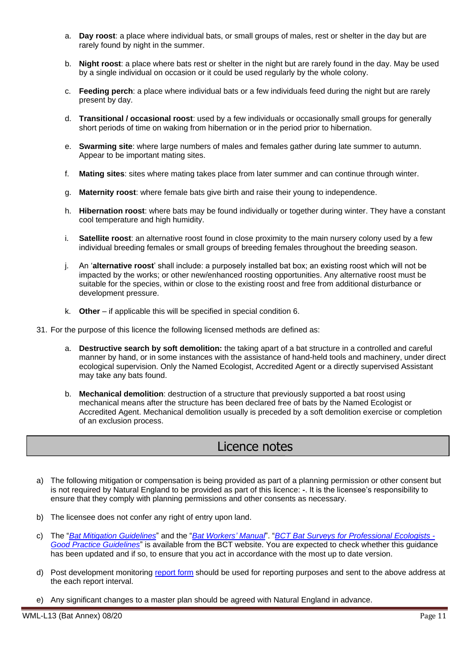- a. **Day roost**: a place where individual bats, or small groups of males, rest or shelter in the day but are rarely found by night in the summer.
- b. **Night roost**: a place where bats rest or shelter in the night but are rarely found in the day. May be used by a single individual on occasion or it could be used regularly by the whole colony.
- c. **Feeding perch**: a place where individual bats or a few individuals feed during the night but are rarely present by day.
- d. **Transitional / occasional roost**: used by a few individuals or occasionally small groups for generally short periods of time on waking from hibernation or in the period prior to hibernation.
- e. **Swarming site**: where large numbers of males and females gather during late summer to autumn. Appear to be important mating sites.
- f. **Mating sites**: sites where mating takes place from later summer and can continue through winter.
- g. **Maternity roost**: where female bats give birth and raise their young to independence.
- h. **Hibernation roost**: where bats may be found individually or together during winter. They have a constant cool temperature and high humidity.
- i. **Satellite roost**: an alternative roost found in close proximity to the main nursery colony used by a few individual breeding females or small groups of breeding females throughout the breeding season.
- j. An '**alternative roost**' shall include: a purposely installed bat box; an existing roost which will not be impacted by the works; or other new/enhanced roosting opportunities. Any alternative roost must be suitable for the species, within or close to the existing roost and free from additional disturbance or development pressure.
- k. **Other** if applicable this will be specified in special condition 6.
- 31. For the purpose of this licence the following licensed methods are defined as:
	- a. **Destructive search by soft demolition:** the taking apart of a bat structure in a controlled and careful manner by hand, or in some instances with the assistance of hand-held tools and machinery, under direct ecological supervision. Only the Named Ecologist, Accredited Agent or a directly supervised Assistant may take any bats found.
	- b. **Mechanical demolition**: destruction of a structure that previously supported a bat roost using mechanical means after the structure has been declared free of bats by the Named Ecologist or Accredited Agent. Mechanical demolition usually is preceded by a soft demolition exercise or completion of an exclusion process.

# Licence notes

- a) The following mitigation or compensation is being provided as part of a planning permission or other consent but is not required by Natural England to be provided as part of this licence: **-**. It is the licensee's responsibility to ensure that they comply with planning permissions and other consents as necessary.
- b) The licensee does not confer any right of entry upon land.
- c) The "*Bat Mitigation Guidelines*" and the "*Bat Workers' Manual*". "*BCT Bat Surveys for Professional Ecologists - Good Practice Guidelines*" is available from the BCT website. You are expected to check whether this guidance has been updated and if so, to ensure that you act in accordance with the most up to date version.
- d) Post development monitoring report form should be used for reporting purposes and sent to the above address at the each report interval.
- e) Any significant changes to a master plan should be agreed with Natural England in advance.